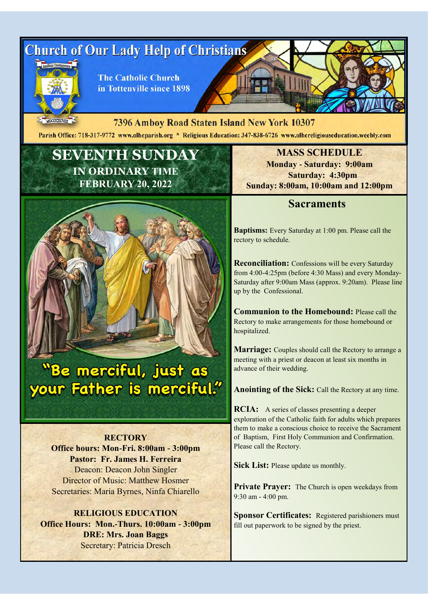

MDCCCXCVIII 7396 Amboy Road Staten Island New York 10307 Parish Office: 718-317-9772 www.olheparish.org \* Religious Education: 347-838-6726 www.olhereligiouseducation.weebly.com

# **SEVENTH SUNDAY IN ORDINARY TIME FEBRUARY 20, 2022**



# Whe merciful, just as your Father is merciful."

**RECTORY Office hours: Mon-Fri. 8:00am - 3:00pm Pastor: Fr. James H. Ferreira** Deacon: Deacon John Singler Director of Music: Matthew Hosmer Secretaries: Maria Byrnes, Ninfa Chiarello

**RELIGIOUS EDUCATION Office Hours: Mon.-Thurs. 10:00am - 3:00pm DRE: Mrs. Joan Baggs** Secretary: Patricia Dresch

**MASS SCHEDULE Monday - Saturday: 9:00am Saturday: 4:30pm Sunday: 8:00am, 10:00am and 12:00pm**

## **Sacraments**

**Baptisms:** Every Saturday at 1:00 pm. Please call the rectory to schedule.

**Reconciliation:** Confessions will be every Saturday from 4:00-4:25pm (before 4:30 Mass) and every Monday-Saturday after 9:00am Mass (approx. 9:20am). Please line up by the Confessional.

**Communion to the Homebound:** Please call the Rectory to make arrangements for those homebound or hospitalized.

**Marriage:** Couples should call the Rectory to arrange a meeting with a priest or deacon at least six months in advance of their wedding.

**Anointing of the Sick:** Call the Rectory at any time.

**RCIA:** A series of classes presenting a deeper exploration of the Catholic faith for adults which prepares them to make a conscious choice to receive the Sacrament of Baptism, First Holy Communion and Confirmation. Please call the Rectory.

**Sick List:** Please update us monthly.

**Private Prayer:** The Church is open weekdays from 9:30 am - 4:00 pm.

**Sponsor Certificates:** Registered parishioners must fill out paperwork to be signed by the priest.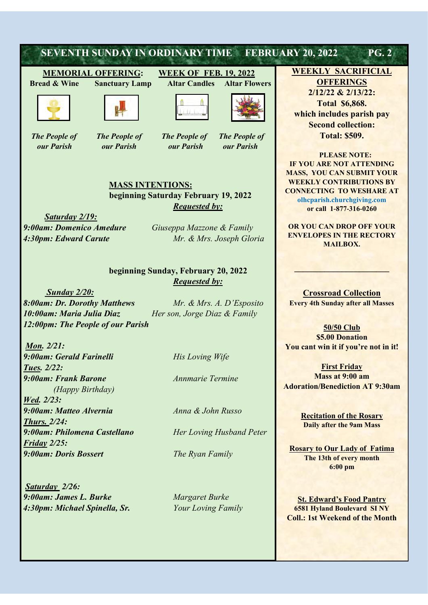

*Saturday 2/26: 9:00am: James L. Burke Margaret Burke 4:30pm: Michael Spinella, Sr. Your Loving Family* 

**St. Edward's Food Pantry 6581 Hyland Boulevard SI NY Coll.: 1st Weekend of the Month**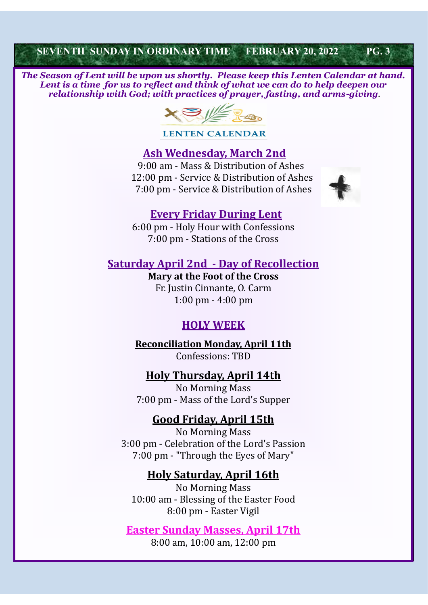## **SEVENTH SUNDAY IN ORDINARY TIME FEBRUARY 20, 2022 PG. 3**

 *The Season of Lent will be upon us shortly. Please keep this Lenten Calendar at hand. Lent is a time for us to reflect and think of what we can do to help deepen our relationship with God; with practices of prayer, fasting, and arms-giving.* 



**LENTEN CALENDAR** 

## **Ash Wednesday, March 2nd**

 9:00 am - Mass & Distribution of Ashes 12:00 pm - Service & Distribution of Ashes 7:00 pm - Service & Distribution of Ashes



#### **Every Friday During Lent**

6:00 pm - Holy Hour with Confessions 7:00 pm - Stations of the Cross

## **Saturday April 2nd - Day of Recollection**

**Mary at the Foot of the Cross** Fr. Justin Cinnante, O. Carm 1:00 pm - 4:00 pm

## **HOLY WEEK**

**Reconciliation Monday, April 11th** Confessions: TBD

#### **Holy Thursday, April 14th**

No Morning Mass 7:00 pm - Mass of the Lord's Supper

## **Good Friday, April 15th**

No Morning Mass 3:00 pm - Celebration of the Lord's Passion 7:00 pm - "Through the Eyes of Mary"

#### **Holy Saturday, April 16th**

No Morning Mass 10:00 am - Blessing of the Easter Food 8:00 pm - Easter Vigil

#### **Easter Sunday Masses, April 17th**

8:00 am, 10:00 am, 12:00 pm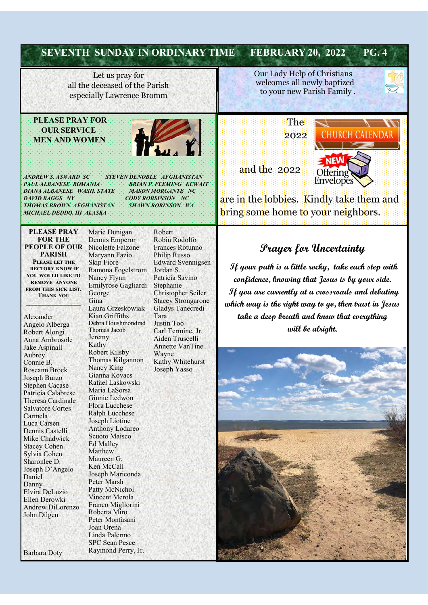|                                                                                                                                                                                                                                                                                                                                                                                                               | <b>SEVENTH SUNDAY IN ORDINARY TIME</b>                                                                                                                                                                                                                                                                                                                                                                                                                                                           |                                                                                                                                                                                                                                                                                                                                                               | <b>FEBRUARY 20, 2022</b><br><b>PG. 4</b>                                                                                                                                                                                                                                                                                 |
|---------------------------------------------------------------------------------------------------------------------------------------------------------------------------------------------------------------------------------------------------------------------------------------------------------------------------------------------------------------------------------------------------------------|--------------------------------------------------------------------------------------------------------------------------------------------------------------------------------------------------------------------------------------------------------------------------------------------------------------------------------------------------------------------------------------------------------------------------------------------------------------------------------------------------|---------------------------------------------------------------------------------------------------------------------------------------------------------------------------------------------------------------------------------------------------------------------------------------------------------------------------------------------------------------|--------------------------------------------------------------------------------------------------------------------------------------------------------------------------------------------------------------------------------------------------------------------------------------------------------------------------|
| Let us pray for<br>all the deceased of the Parish<br>especially Lawrence Bromm                                                                                                                                                                                                                                                                                                                                |                                                                                                                                                                                                                                                                                                                                                                                                                                                                                                  |                                                                                                                                                                                                                                                                                                                                                               | Our Lady Help of Christians<br>welcomes all newly baptized<br>to your new Parish Family.                                                                                                                                                                                                                                 |
| <b>PLEASE PRAY FOR</b><br><b>OUR SERVICE</b><br><b>MEN AND WOMEN</b><br>ANDREW'S. ASWARD SC<br><b>STEVEN DENOBLE AFGHANISTAN</b><br><b>PAUL ALBANESE ROMANIA</b><br><b>BRIAN P. FLEMING KUWAIT</b><br>DIANA ALBANESE WASH. STATE<br><b>MASON MORGANTE NC</b><br><b>DAVID BAGGS NY</b><br><b>CODY ROBSINSON</b> NC<br><b>THOMAS BROWN AFGHANISTAN</b><br><b>SHAWN ROBINSON</b> WA<br>MICHAEL DEDDO, III ALASKA |                                                                                                                                                                                                                                                                                                                                                                                                                                                                                                  |                                                                                                                                                                                                                                                                                                                                                               | The<br>2022<br>and the 2022<br>Offering<br>Envelopes<br>are in the lobbies. Kindly take them and<br>bring some home to your neighbors.                                                                                                                                                                                   |
| <b>PLEASE PRAY</b><br><b>FOR THE</b><br><b>PEOPLE OF OUR</b><br><b>PARISH</b><br>PLEASE LET THE<br><b>RECTORY KNOW IF</b><br>YOU WOULD LIKE TO<br><b>REMOVE ANYONE</b><br>FROM THIS SICK LIST.<br><b>THANK YOU</b><br>Alexander<br>Angelo Alberga<br>Robert Alongi<br>Anna Ambrosole                                                                                                                          | Marie Dunigan<br>Dennis Emperor<br>Nicolette Falzone<br>Maryann Fazio<br><b>Skip Fiore</b><br>Ramona Fogelstrom<br>Nancy Flynn<br>Emilyrose Gagliardi<br>George<br>Gina<br>Laura Grzeskowiak<br>Kian Griffiths<br>Debra Houshmondrad<br>Thomas Jacob<br>Jeremy                                                                                                                                                                                                                                   | Robert<br>Robin Rodolfo<br>Frances Rotunno<br><b>Philip Russo</b><br><b>Edward Svennigsen</b><br>Jordan S.<br>Patricia Savino<br>Stephanie<br>Christopher Seiler<br><b>Stacey Strongarone</b><br><b>Gladys Tanecredi</b><br>Tara<br>Justin Too<br>Carl Termine, Jr.<br>Aiden Truscelli<br><b>Annette VanTine</b><br>Wayne<br>Kathy Whitehurst<br>Joseph Yasso | <b>Prayer for Uncertainty</b><br>If your path is a little rocky, take each step with<br>confidence, knowing that Jesus is by your side.<br>If you are currently at a crossroads and debating<br>which way is the right way to go, then trust in Jesus<br>take a deep breath and know that everything<br>will be alright. |
| Jake Aspinall<br>Aubrey<br>Connie B.<br><b>Roseann Brock</b><br>Joseph Burzo<br><b>Stephen Cacase</b><br>Patricia Calabrese<br>Theresa Cardinale<br><b>Salvatore Cortes</b><br>Carmela<br>Luca Carsen<br>Dennis Castelli<br>Mike Chadwick<br><b>Stacey Cohen</b><br>Sylvia Cohen<br>Sharonlee D.<br>Joseph D'Angelo<br>Daniel<br>Danny<br>Elvira DeLuzio<br>Ellen Derowki<br>Andrew DiLorenzo<br>John Dilgen  | Kathy<br><b>Robert Kilsby</b><br>Thomas Kilgannon<br>Nancy King<br>Gianna Kovacs<br>Rafael Laskowski<br>Maria LaSorsa<br>Ginnie Ledwon<br><b>Flora Lucchese</b><br><b>Ralph Lucchese</b><br>Joseph Liotine<br>Anthony Lodareo<br>Scuoto Maisco<br><b>Ed Malley</b><br>Matthew<br>Maureen G.<br>Ken McCall<br>Joseph Mariconda<br>Peter Marsh<br>Patty McNichol<br>Vincent Merola<br>Franco Migliorini<br>Roberta Miro<br>Peter Monfasani<br>Joan Orena<br>Linda Palermo<br><b>SPC Sean Pesce</b> |                                                                                                                                                                                                                                                                                                                                                               |                                                                                                                                                                                                                                                                                                                          |

3.6

K.

Barbara Doty

Raymond Perry, Jr.  $\mathcal{L} = \mathcal{L}$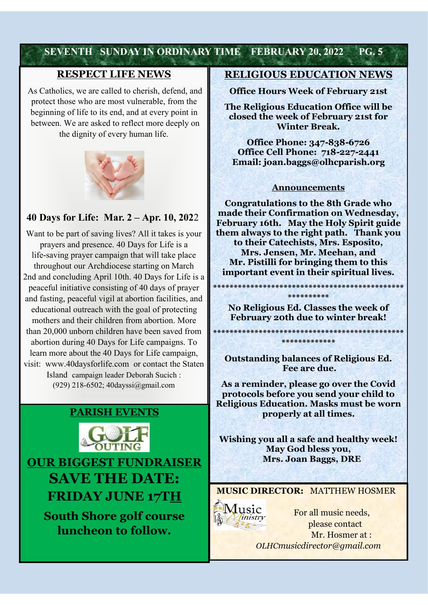# **SEVENTH SUNDAY IN ORDINARY TIME FEBRUARY 20, 2022 PG. 5**

## **RESPECT LIFE NEWS**

As Catholics, we are called to cherish, defend, and protect those who are most vulnerable, from the beginning of life to its end, and at every point in between. We are asked to reflect more deeply on the dignity of every human life.



### **40 Days for Life: Mar. 2 – Apr. 10, 202**2

Want to be part of saving lives? All it takes is your prayers and presence. 40 Days for Life is a life-saving prayer campaign that will take place throughout our Archdiocese starting on March 2nd and concluding April 10th. 40 Days for Life is a peaceful initiative consisting of 40 days of prayer and fasting, peaceful vigil at abortion facilities, and educational outreach with the goal of protecting mothers and their children from abortion. More than 20,000 unborn children have been saved from abortion during 40 Days for Life campaigns. To learn more about the 40 Days for Life campaign, visit: www.40daysforlife.com or contact the Staten Island campaign leader Deborah Sucich : (929) 218-6502; 40dayssi@gmail.com



**SAVE THE DATE: FRIDAY JUNE 17TH**

**South Shore golf course luncheon to follow.**

#### **RELIGIOUS EDUCATION NEWS**

**Office Hours Week of February 21st**

**The Religious Education Office will be closed the week of February 21st for Winter Break.** 

**Office Phone: 347-838-6726 Office Cell Phone: 718-227-2441 Email: joan.baggs@olhcparish.org**

#### **Announcements**

**Congratulations to the 8th Grade who made their Confirmation on Wednesday, February 16th. May the Holy Spirit guide them always to the right path. Thank you to their Catechists, Mrs. Esposito, Mrs. Jensen, Mr. Meehan, and Mr. Pistilli for bringing them to this important event in their spiritual lives.** 

**\*\*\*\*\*\*\*\*\*\* No Religious Ed. Classes the week of February 20th due to winter break!**

**\*\*\*\*\*\*\*\*\*\*\*\*\*\*\*\*\*\*\*\*\*\*\*\*\*\*\*\*\*\*\*\*\*\*\*\*\*\*\*\*\*\*\*\*\*\* \*\*\*\*\*\*\*\*\*\*\*\*\***

**\*\*\*\*\*\*\*\*\*\*\*\*\*\*\*\*\*\*\*\*\*\*\*\*\*\*\*\*\*\*\*\*\*\*\*\*\*\*\*\*\*\*\*\*\*\***

**Outstanding balances of Religious Ed. Fee are due.**

**As a reminder, please go over the Covid protocols before you send your child to Religious Education. Masks must be worn properly at all times.** 

**Wishing you all a safe and healthy week! May God bless you, Mrs. Joan Baggs, DRE**

**MUSIC DIRECTOR:** MATTHEW HOSMER



 For all music needs, please contact Mr. Hosmer at : *OLHCmusicdirector@gmail.com*